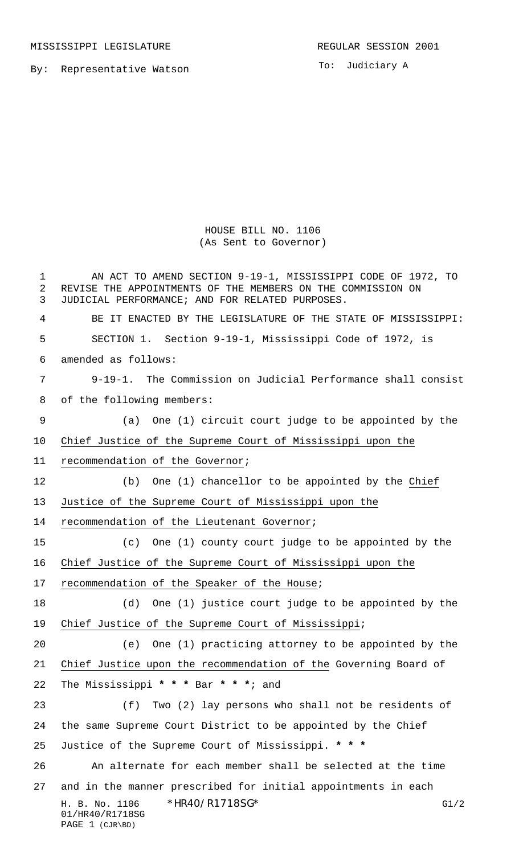By: Representative Watson

To: Judiciary A

HOUSE BILL NO. 1106 (As Sent to Governor)

| $\mathbf 1$<br>2<br>3 | AN ACT TO AMEND SECTION 9-19-1, MISSISSIPPI CODE OF 1972, TO<br>REVISE THE APPOINTMENTS OF THE MEMBERS ON THE COMMISSION ON<br>JUDICIAL PERFORMANCE; AND FOR RELATED PURPOSES. |
|-----------------------|--------------------------------------------------------------------------------------------------------------------------------------------------------------------------------|
| 4                     | BE IT ENACTED BY THE LEGISLATURE OF THE STATE OF MISSISSIPPI:                                                                                                                  |
| 5                     | SECTION 1. Section 9-19-1, Mississippi Code of 1972, is                                                                                                                        |
| 6                     | amended as follows:                                                                                                                                                            |
| 7                     | 9-19-1. The Commission on Judicial Performance shall consist                                                                                                                   |
| 8                     | of the following members:                                                                                                                                                      |
| 9                     | (a) One (1) circuit court judge to be appointed by the                                                                                                                         |
| $10 \,$               | Chief Justice of the Supreme Court of Mississippi upon the                                                                                                                     |
| 11                    | recommendation of the Governor;                                                                                                                                                |
| 12                    | (b) One (1) chancellor to be appointed by the Chief                                                                                                                            |
| 13                    | Justice of the Supreme Court of Mississippi upon the                                                                                                                           |
| 14                    | recommendation of the Lieutenant Governor;                                                                                                                                     |
| 15                    | (c) One (1) county court judge to be appointed by the                                                                                                                          |
| 16                    | Chief Justice of the Supreme Court of Mississippi upon the                                                                                                                     |
| 17                    | recommendation of the Speaker of the House;                                                                                                                                    |
| 18                    | (d) One (1) justice court judge to be appointed by the                                                                                                                         |
| 19                    | Chief Justice of the Supreme Court of Mississippi;                                                                                                                             |
| 20                    | (e) One (1) practicing attorney to be appointed by the                                                                                                                         |
| 21                    | Chief Justice upon the recommendation of the Governing Board of                                                                                                                |
| 22                    | The Mississippi * * * Bar * * *; and                                                                                                                                           |
| 23                    | (f)<br>Two (2) lay persons who shall not be residents of                                                                                                                       |
| 24                    | the same Supreme Court District to be appointed by the Chief                                                                                                                   |
| 25                    | Justice of the Supreme Court of Mississippi. * * *                                                                                                                             |
| 26                    | An alternate for each member shall be selected at the time                                                                                                                     |
| 27                    | and in the manner prescribed for initial appointments in each                                                                                                                  |
|                       | *HR40/R1718SG*<br>G1/2<br>H. B. No. 1106<br>01/HR40/R1718SG<br>PAGE 1 (CJR\BD)                                                                                                 |